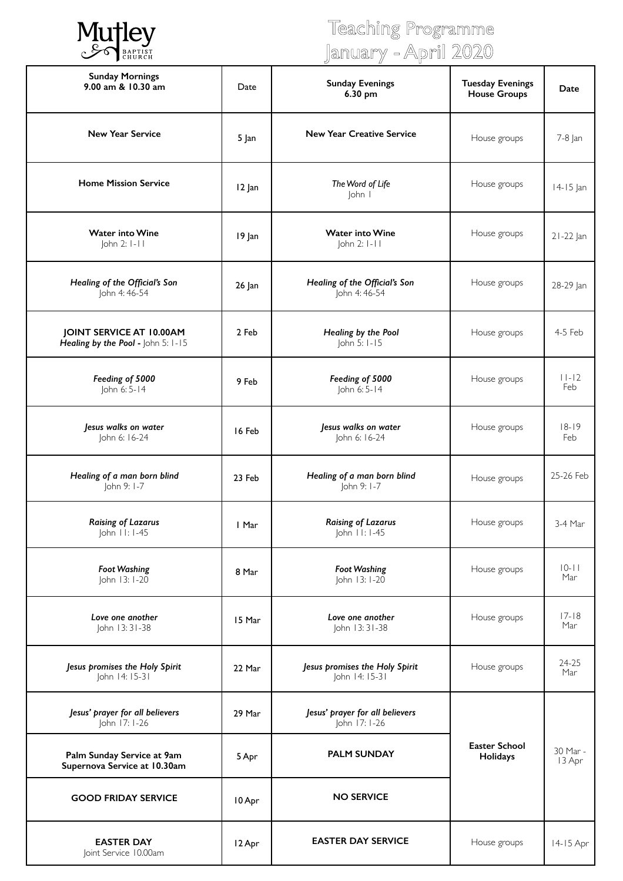

# Teaching Programme January - April 2020

|                                                                |        | ש<br>Ц<br>ш                                      |                                                |                    |
|----------------------------------------------------------------|--------|--------------------------------------------------|------------------------------------------------|--------------------|
| <b>Sunday Mornings</b><br>9.00 am & 10.30 am                   | Date   | <b>Sunday Evenings</b><br>6.30 pm                | <b>Tuesday Evenings</b><br><b>House Groups</b> | Date               |
| <b>New Year Service</b>                                        | 5 Jan  | <b>New Year Creative Service</b>                 | House groups                                   | 7-8 Jan            |
| <b>Home Mission Service</b>                                    | 12 Jan | The Word of Life<br>John I                       | House groups                                   | 14-15 Jan          |
| <b>Water into Wine</b><br>John 2: 1-11                         | 19 Jan | <b>Water into Wine</b><br>John 2: I-II           | House groups                                   | 21-22 Jan          |
| Healing of the Official's Son<br>John 4: 46-54                 | 26 Jan | Healing of the Official's Son<br>John 4: 46-54   | House groups                                   | 28-29 Jan          |
| JOINT SERVICE AT 10.00AM<br>Healing by the Pool - John 5: 1-15 | 2 Feb  | Healing by the Pool<br>John 5: 1-15              | House groups                                   | 4-5 Feb            |
| Feeding of 5000<br>John 6: 5-14                                | 9 Feb  | Feeding of 5000<br>John 6: 5-14                  | House groups                                   | $11-12$<br>Feb     |
| Jesus walks on water<br>John 6: 16-24                          | 16 Feb | Jesus walks on water<br>John 6: 16-24            | House groups                                   | $18 - 19$<br>Feb   |
| Healing of a man born blind<br>John 9: 1-7                     | 23 Feb | Healing of a man born blind<br>John 9: 1-7       | House groups                                   | 25-26 Feb          |
| <b>Raising of Lazarus</b><br>John 11: 1-45                     | I Mar  | <b>Raising of Lazarus</b><br>$ ohn 11: 1-45$     | House groups                                   | 3-4 Mar            |
| <b>Foot Washing</b><br>John 13: 1-20                           | 8 Mar  | <b>Foot Washing</b><br>John 13: 1-20             | House groups                                   | $10 - 11$<br>Mar   |
| Love one another<br>John 13:31-38                              | 15 Mar | Love one another<br>John 13:31-38                | House groups                                   | $17 - 18$<br>Mar   |
| Jesus promises the Holy Spirit<br>John 14: 15-31               | 22 Mar | Jesus promises the Holy Spirit<br>John 14: 15-31 | House groups                                   | 24-25<br>Mar       |
| Jesus' prayer for all believers<br>John 17: 1-26               | 29 Mar | Jesus' prayer for all believers<br>John 17: 1-26 |                                                |                    |
| Palm Sunday Service at 9am<br>Supernova Service at 10.30am     | 5 Apr  | <b>PALM SUNDAY</b>                               | <b>Easter School</b><br>Holidays               | 30 Mar -<br>13 Apr |
| <b>GOOD FRIDAY SERVICE</b>                                     | 10 Apr | <b>NO SERVICE</b>                                |                                                |                    |
| <b>EASTER DAY</b><br>Joint Service 10.00am                     | 12 Apr | <b>EASTER DAY SERVICE</b>                        | House groups                                   | 14-15 Apr          |